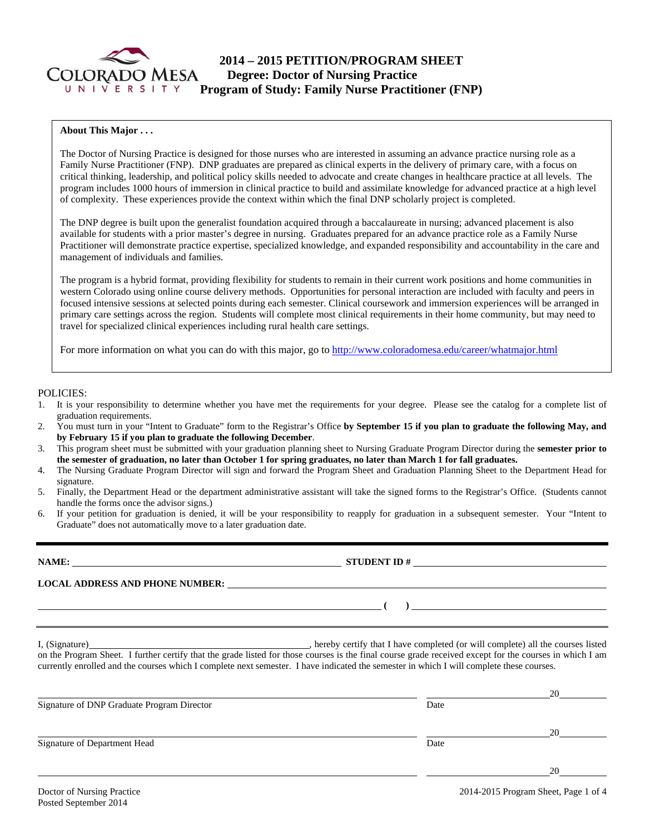

### **About This Major . . .**

The Doctor of Nursing Practice is designed for those nurses who are interested in assuming an advance practice nursing role as a Family Nurse Practitioner (FNP). DNP graduates are prepared as clinical experts in the delivery of primary care, with a focus on critical thinking, leadership, and political policy skills needed to advocate and create changes in healthcare practice at all levels. The program includes 1000 hours of immersion in clinical practice to build and assimilate knowledge for advanced practice at a high level of complexity. These experiences provide the context within which the final DNP scholarly project is completed.

The DNP degree is built upon the generalist foundation acquired through a baccalaureate in nursing; advanced placement is also available for students with a prior master's degree in nursing. Graduates prepared for an advance practice role as a Family Nurse Practitioner will demonstrate practice expertise, specialized knowledge, and expanded responsibility and accountability in the care and management of individuals and families.

The program is a hybrid format, providing flexibility for students to remain in their current work positions and home communities in western Colorado using online course delivery methods. Opportunities for personal interaction are included with faculty and peers in focused intensive sessions at selected points during each semester. Clinical coursework and immersion experiences will be arranged in primary care settings across the region. Students will complete most clinical requirements in their home community, but may need to travel for specialized clinical experiences including rural health care settings.

For more information on what you can do with this major, go to http://www.coloradomesa.edu/career/whatmajor.html

#### POLICIES:

- 1. It is your responsibility to determine whether you have met the requirements for your degree. Please see the catalog for a complete list of graduation requirements.
- 2. You must turn in your "Intent to Graduate" form to the Registrar's Office **by September 15 if you plan to graduate the following May, and by February 15 if you plan to graduate the following December**.
- 3. This program sheet must be submitted with your graduation planning sheet to Nursing Graduate Program Director during the **semester prior to the semester of graduation, no later than October 1 for spring graduates, no later than March 1 for fall graduates.**
- 4. The Nursing Graduate Program Director will sign and forward the Program Sheet and Graduation Planning Sheet to the Department Head for signature.
- 5. Finally, the Department Head or the department administrative assistant will take the signed forms to the Registrar's Office. (Students cannot handle the forms once the advisor signs.)
- 6. If your petition for graduation is denied, it will be your responsibility to reapply for graduation in a subsequent semester. Your "Intent to Graduate" does not automatically move to a later graduation date.

**NAME: STUDENT ID # STUDENT ID # LOCAL ADDRESS AND PHONE NUMBER: ( )**  I, (Signature) , hereby certify that I have completed (or will complete) all the courses listed on the Program Sheet. I further certify that the grade listed for those courses is the final course grade received except for the courses in which I am currently enrolled and the courses which I complete next semester. I have indicated the semester in which I will complete these courses.

|                                            |      | 20 |
|--------------------------------------------|------|----|
| Signature of DNP Graduate Program Director | Date |    |
|                                            |      | 20 |
| Signature of Department Head               | Date |    |
|                                            |      | 20 |
|                                            |      |    |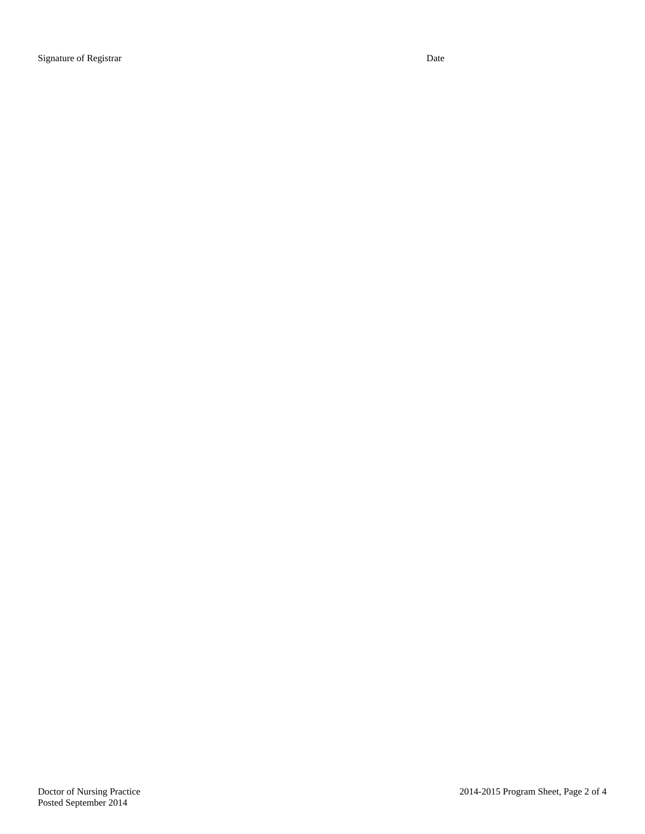Signature of Registrar Date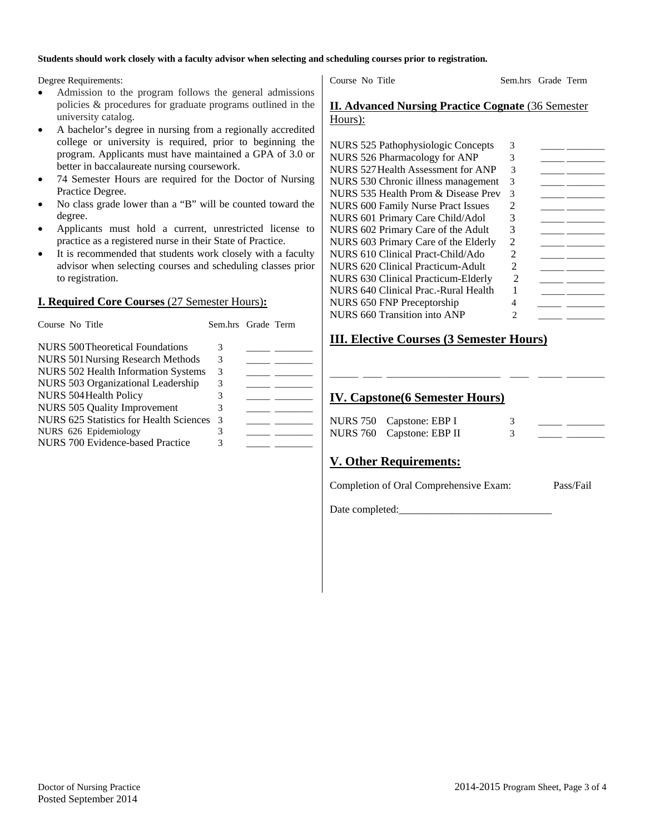#### **Students should work closely with a faculty advisor when selecting and scheduling courses prior to registration.**

Degree Requirements:

- Admission to the program follows the general admissions policies & procedures for graduate programs outlined in the university catalog.
- A bachelor's degree in nursing from a regionally accredited college or university is required, prior to beginning the program. Applicants must have maintained a GPA of 3.0 or better in baccalaureate nursing coursework.
- 74 Semester Hours are required for the Doctor of Nursing Practice Degree.
- No class grade lower than a "B" will be counted toward the degree.
- Applicants must hold a current, unrestricted license to practice as a registered nurse in their State of Practice.
- It is recommended that students work closely with a faculty advisor when selecting courses and scheduling classes prior to registration.

## **I. Required Core Courses** (27 Semester Hours)**:**

| Course No Title                            | Sem.hrs Grade Term |  |
|--------------------------------------------|--------------------|--|
| NURS 500 Theoretical Foundations           | 3                  |  |
| NURS 501 Nursing Research Methods          | 3                  |  |
| <b>NURS 502 Health Information Systems</b> | 3                  |  |
| NURS 503 Organizational Leadership         | 3                  |  |
| NURS 504 Health Policy                     | 3                  |  |
| <b>NURS 505 Quality Improvement</b>        | 3                  |  |
| NURS 625 Statistics for Health Sciences    | $\mathcal{R}$      |  |
| NURS 626 Epidemiology                      |                    |  |
| NURS 700 Evidence-based Practice           |                    |  |

Course No Title Sem.hrs Grade Term

## **II. Advanced Nursing Practice Cognate** (36 Semester Hours):

| NURS 525 Pathophysiologic Concepts        | 3 |  |
|-------------------------------------------|---|--|
| NURS 526 Pharmacology for ANP             |   |  |
| NURS 527 Health Assessment for ANP        | 3 |  |
| NURS 530 Chronic illness management       | 3 |  |
| NURS 535 Health Prom & Disease Prev       | 3 |  |
| <b>NURS 600 Family Nurse Pract Issues</b> | 2 |  |
| NURS 601 Primary Care Child/Adol          | 3 |  |
| NURS 602 Primary Care of the Adult        | 3 |  |
| NURS 603 Primary Care of the Elderly      | 2 |  |
| NURS 610 Clinical Pract-Child/Ado         |   |  |
| NURS 620 Clinical Practicum-Adult         |   |  |
| NURS 630 Clinical Practicum-Elderly       | 2 |  |
| NURS 640 Clinical Prac.-Rural Health      |   |  |
| NURS 650 FNP Preceptorship                |   |  |
| NURS 660 Transition into ANP              | 7 |  |
|                                           |   |  |

# **III. Elective Courses (3 Semester Hours)**

# **IV. Capstone(6 Semester Hours)**

| NURS 750 Capstone: EBP I  |  |  |
|---------------------------|--|--|
| NURS 760 Capstone: EBP II |  |  |

\_\_\_\_\_\_ \_\_\_\_ \_\_\_\_\_\_\_\_\_\_\_\_\_\_\_\_\_\_\_\_\_\_\_\_ \_\_\_\_ \_\_\_\_\_ \_\_\_\_\_\_\_\_

# **V. Other Requirements:**

Completion of Oral Comprehensive Exam: Pass/Fail

Date completed: